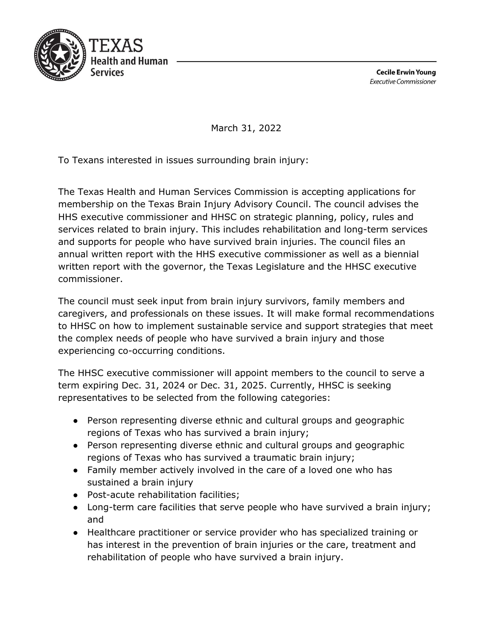

**Cecile Erwin Young Executive Commissioner** 

March 31, 2022

To Texans interested in issues surrounding brain injury:

The Texas Health and Human Services Commission is accepting applications for membership on the Texas Brain Injury Advisory Council. The council advises the HHS executive commissioner and HHSC on strategic planning, policy, rules and services related to brain injury. This includes rehabilitation and long-term services and supports for people who have survived brain injuries. The council files an annual written report with the HHS executive commissioner as well as a biennial written report with the governor, the Texas Legislature and the HHSC executive commissioner.

The council must seek input from brain injury survivors, family members and caregivers, and professionals on these issues. It will make formal recommendations to HHSC on how to implement sustainable service and support strategies that meet the complex needs of people who have survived a brain injury and those experiencing co-occurring conditions.

The HHSC executive commissioner will appoint members to the council to serve a term expiring Dec. 31, 2024 or Dec. 31, 2025. Currently, HHSC is seeking representatives to be selected from the following categories:

- Person representing diverse ethnic and cultural groups and geographic regions of Texas who has survived a brain injury;
- Person representing diverse ethnic and cultural groups and geographic regions of Texas who has survived a traumatic brain injury;
- Family member actively involved in the care of a loved one who has sustained a brain injury
- Post-acute rehabilitation facilities;
- Long-term care facilities that serve people who have survived a brain injury; and
- Healthcare practitioner or service provider who has specialized training or has interest in the prevention of brain injuries or the care, treatment and rehabilitation of people who have survived a brain injury.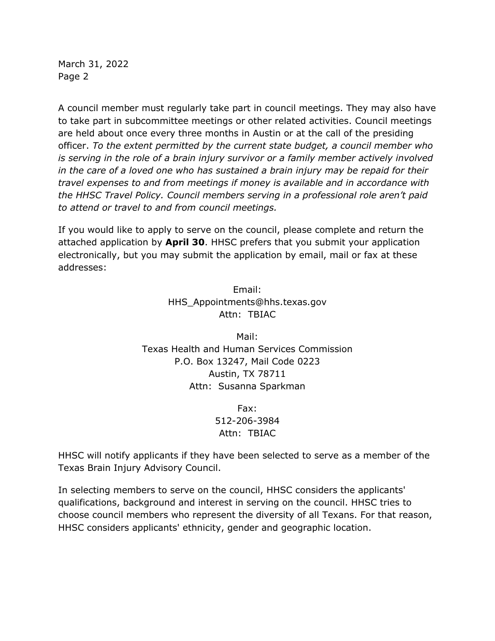March 31, 2022 Page 2

A council member must regularly take part in council meetings. They may also have to take part in subcommittee meetings or other related activities. Council meetings are held about once every three months in Austin or at the call of the presiding officer. *To the extent permitted by the current state budget, a council member who is serving in the role of a brain injury survivor or a family member actively involved in the care of a loved one who has sustained a brain injury may be repaid for their travel expenses to and from meetings if money is available and in accordance with the HHSC Travel Policy. Council members serving in a professional role aren't paid to attend or travel to and from council meetings.* 

If you would like to apply to serve on the council, please complete and return the attached application by **April 30**. HHSC prefers that you submit your application electronically, but you may submit the application by email, mail or fax at these addresses:

> Email: HHS\_Appointments@hhs.texas.gov Attn: TBIAC

Mail: Texas Health and Human Services Commission P.O. Box 13247, Mail Code 0223 Austin, TX 78711 Attn: Susanna Sparkman

> Fax: 512-206-3984 Attn: TBIAC

HHSC will notify applicants if they have been selected to serve as a member of the Texas Brain Injury Advisory Council.

In selecting members to serve on the council, HHSC considers the applicants' qualifications, background and interest in serving on the council. HHSC tries to choose council members who represent the diversity of all Texans. For that reason, HHSC considers applicants' ethnicity, gender and geographic location.